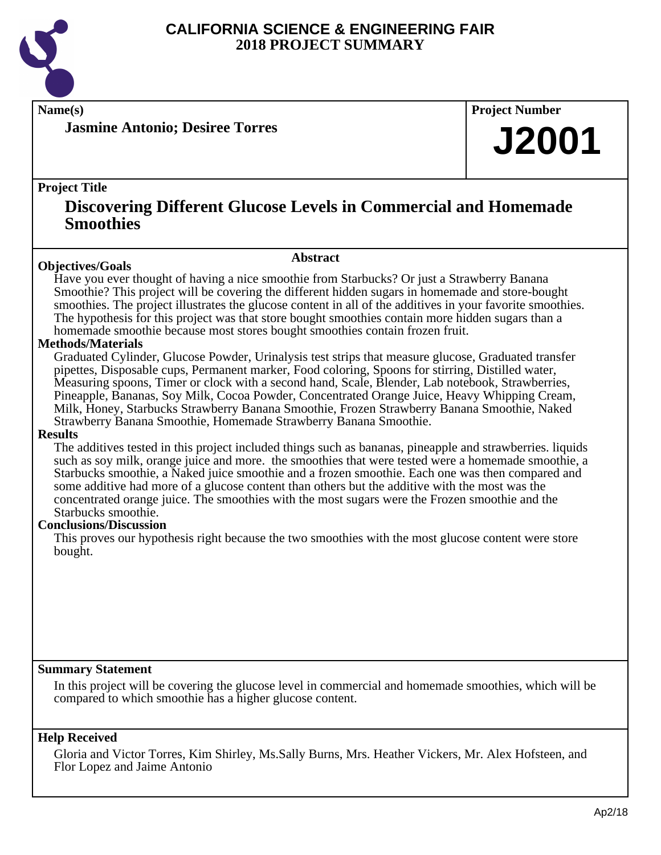

**Jasmine Antonio; Desiree Torres**

**Name(s) Project Number**

## **J2001**

#### **Project Title**

### **Discovering Different Glucose Levels in Commercial and Homemade Smoothies**

#### **Abstract**

**Objectives/Goals** Have you ever thought of having a nice smoothie from Starbucks? Or just a Strawberry Banana Smoothie? This project will be covering the different hidden sugars in homemade and store-bought smoothies. The project illustrates the glucose content in all of the additives in your favorite smoothies. The hypothesis for this project was that store bought smoothies contain more hidden sugars than a homemade smoothie because most stores bought smoothies contain frozen fruit.

#### **Methods/Materials**

Graduated Cylinder, Glucose Powder, Urinalysis test strips that measure glucose, Graduated transfer pipettes, Disposable cups, Permanent marker, Food coloring, Spoons for stirring, Distilled water, Measuring spoons, Timer or clock with a second hand, Scale, Blender, Lab notebook, Strawberries, Pineapple, Bananas, Soy Milk, Cocoa Powder, Concentrated Orange Juice, Heavy Whipping Cream, Milk, Honey, Starbucks Strawberry Banana Smoothie, Frozen Strawberry Banana Smoothie, Naked Strawberry Banana Smoothie, Homemade Strawberry Banana Smoothie.

#### **Results**

The additives tested in this project included things such as bananas, pineapple and strawberries. liquids such as soy milk, orange juice and more. the smoothies that were tested were a homemade smoothie, a Starbucks smoothie, a Naked juice smoothie and a frozen smoothie. Each one was then compared and some additive had more of a glucose content than others but the additive with the most was the concentrated orange juice. The smoothies with the most sugars were the Frozen smoothie and the Starbucks smoothie.

#### **Conclusions/Discussion**

This proves our hypothesis right because the two smoothies with the most glucose content were store bought.

#### **Summary Statement**

In this project will be covering the glucose level in commercial and homemade smoothies, which will be compared to which smoothie has a higher glucose content.

#### **Help Received**

Gloria and Victor Torres, Kim Shirley, Ms.Sally Burns, Mrs. Heather Vickers, Mr. Alex Hofsteen, and Flor Lopez and Jaime Antonio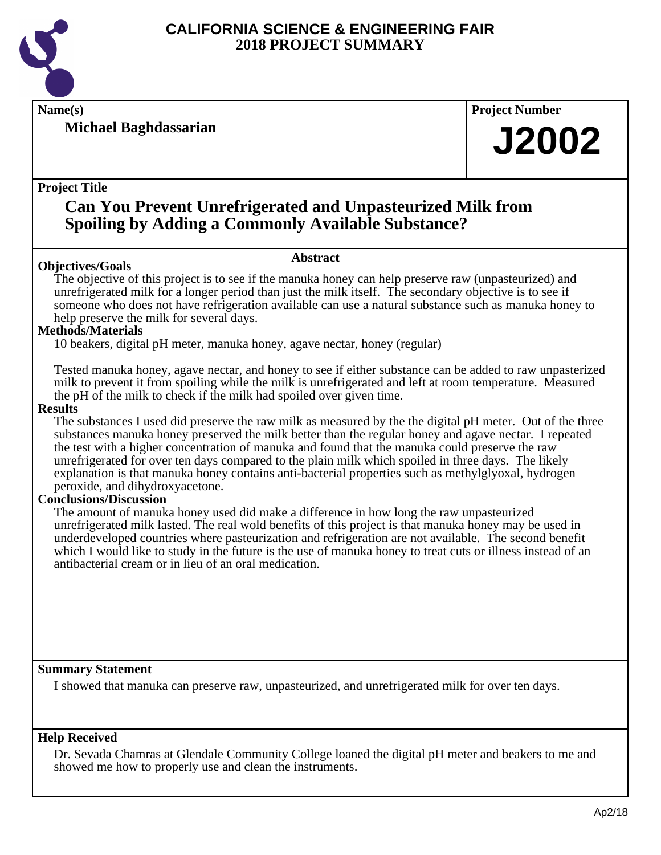

**Michael Baghdassarian**

**Name(s) Project Number**

## **J2002**

#### **Project Title**

### **Can You Prevent Unrefrigerated and Unpasteurized Milk from Spoiling by Adding a Commonly Available Substance?**

#### **Objectives/Goals**

The objective of this project is to see if the manuka honey can help preserve raw (unpasteurized) and unrefrigerated milk for a longer period than just the milk itself. The secondary objective is to see if someone who does not have refrigeration available can use a natural substance such as manuka honey to help preserve the milk for several days.

**Abstract**

#### **Methods/Materials**

10 beakers, digital pH meter, manuka honey, agave nectar, honey (regular)

Tested manuka honey, agave nectar, and honey to see if either substance can be added to raw unpasterized milk to prevent it from spoiling while the milk is unrefrigerated and left at room temperature. Measured the pH of the milk to check if the milk had spoiled over given time.

#### **Results**

The substances I used did preserve the raw milk as measured by the the digital pH meter. Out of the three substances manuka honey preserved the milk better than the regular honey and agave nectar. I repeated the test with a higher concentration of manuka and found that the manuka could preserve the raw unrefrigerated for over ten days compared to the plain milk which spoiled in three days. The likely explanation is that manuka honey contains anti-bacterial properties such as methylglyoxal, hydrogen peroxide, and dihydroxyacetone.

#### **Conclusions/Discussion**

The amount of manuka honey used did make a difference in how long the raw unpasteurized unrefrigerated milk lasted. The real wold benefits of this project is that manuka honey may be used in underdeveloped countries where pasteurization and refrigeration are not available. The second benefit which I would like to study in the future is the use of manuka honey to treat cuts or illness instead of an antibacterial cream or in lieu of an oral medication.

#### **Summary Statement**

I showed that manuka can preserve raw, unpasteurized, and unrefrigerated milk for over ten days.

#### **Help Received**

Dr. Sevada Chamras at Glendale Community College loaned the digital pH meter and beakers to me and showed me how to properly use and clean the instruments.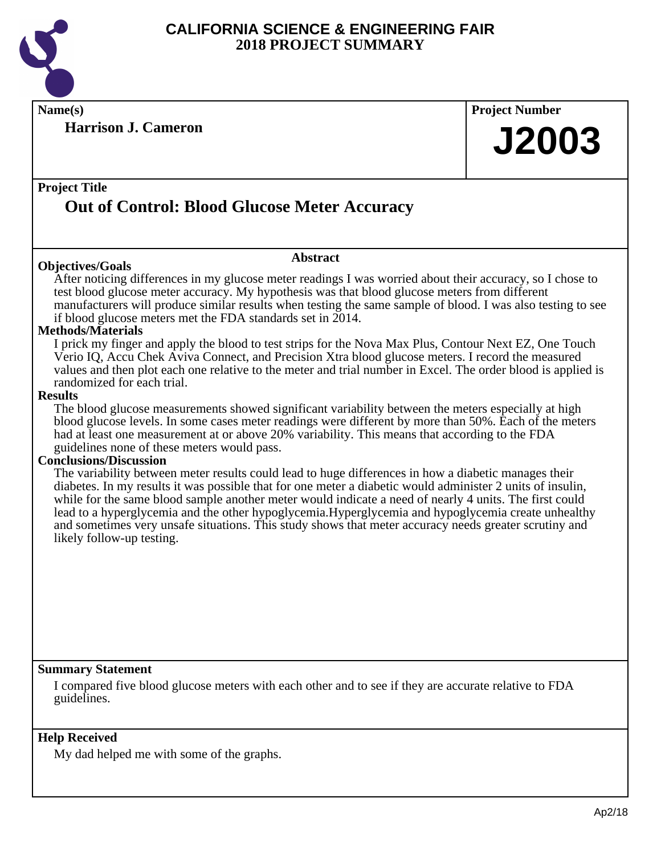

**Name(s) Project Number**

**Harrison J. Cameron**

# **J2003**

### **Project Title Out of Control: Blood Glucose Meter Accuracy**

#### **Objectives/Goals**

After noticing differences in my glucose meter readings I was worried about their accuracy, so I chose to test blood glucose meter accuracy. My hypothesis was that blood glucose meters from different manufacturers will produce similar results when testing the same sample of blood. I was also testing to see if blood glucose meters met the FDA standards set in 2014.

**Abstract**

#### **Methods/Materials**

I prick my finger and apply the blood to test strips for the Nova Max Plus, Contour Next EZ, One Touch Verio IQ, Accu Chek Aviva Connect, and Precision Xtra blood glucose meters. I record the measured values and then plot each one relative to the meter and trial number in Excel. The order blood is applied is randomized for each trial.

#### **Results**

The blood glucose measurements showed significant variability between the meters especially at high blood glucose levels. In some cases meter readings were different by more than 50%. Each of the meters had at least one measurement at or above 20% variability. This means that according to the FDA guidelines none of these meters would pass.

#### **Conclusions/Discussion**

The variability between meter results could lead to huge differences in how a diabetic manages their diabetes. In my results it was possible that for one meter a diabetic would administer 2 units of insulin, while for the same blood sample another meter would indicate a need of nearly 4 units. The first could lead to a hyperglycemia and the other hypoglycemia.Hyperglycemia and hypoglycemia create unhealthy and sometimes very unsafe situations. This study shows that meter accuracy needs greater scrutiny and likely follow-up testing.

#### **Summary Statement**

I compared five blood glucose meters with each other and to see if they are accurate relative to FDA guidelines.

#### **Help Received**

My dad helped me with some of the graphs.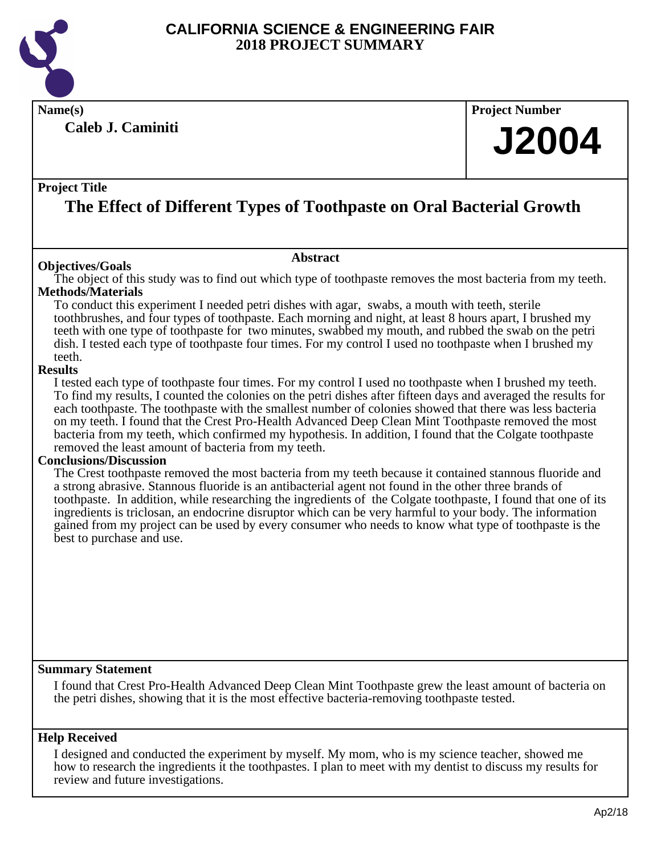

**Caleb J. Caminiti**

**Name(s) Project Number**

## **J2004**

#### **Project Title**

## **The Effect of Different Types of Toothpaste on Oral Bacterial Growth**

#### **Objectives/Goals**

The object of this study was to find out which type of toothpaste removes the most bacteria from my teeth. **Methods/Materials**

**Abstract**

To conduct this experiment I needed petri dishes with agar, swabs, a mouth with teeth, sterile toothbrushes, and four types of toothpaste. Each morning and night, at least 8 hours apart, I brushed my teeth with one type of toothpaste for two minutes, swabbed my mouth, and rubbed the swab on the petri dish. I tested each type of toothpaste four times. For my control I used no toothpaste when I brushed my teeth.

#### **Results**

I tested each type of toothpaste four times. For my control I used no toothpaste when I brushed my teeth. To find my results, I counted the colonies on the petri dishes after fifteen days and averaged the results for each toothpaste. The toothpaste with the smallest number of colonies showed that there was less bacteria on my teeth. I found that the Crest Pro-Health Advanced Deep Clean Mint Toothpaste removed the most bacteria from my teeth, which confirmed my hypothesis. In addition, I found that the Colgate toothpaste removed the least amount of bacteria from my teeth.

#### **Conclusions/Discussion**

The Crest toothpaste removed the most bacteria from my teeth because it contained stannous fluoride and a strong abrasive. Stannous fluoride is an antibacterial agent not found in the other three brands of toothpaste. In addition, while researching the ingredients of the Colgate toothpaste, I found that one of its ingredients is triclosan, an endocrine disruptor which can be very harmful to your body. The information gained from my project can be used by every consumer who needs to know what type of toothpaste is the best to purchase and use.

#### **Summary Statement**

I found that Crest Pro-Health Advanced Deep Clean Mint Toothpaste grew the least amount of bacteria on the petri dishes, showing that it is the most effective bacteria-removing toothpaste tested.

#### **Help Received**

I designed and conducted the experiment by myself. My mom, who is my science teacher, showed me how to research the ingredients it the toothpastes. I plan to meet with my dentist to discuss my results for review and future investigations.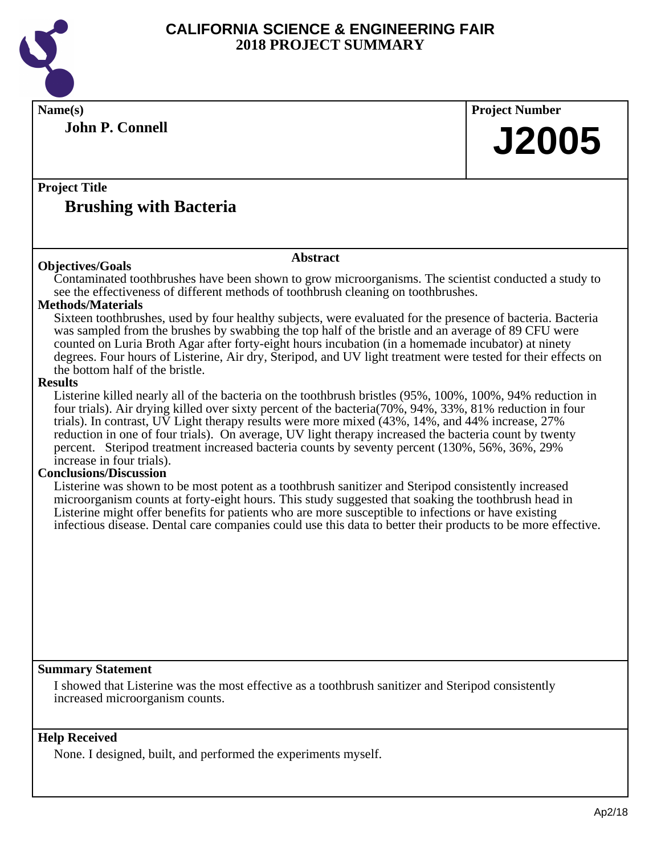

**Name(s) Project Number Project Title Abstract Summary Statement Help Received John P. Connell Brushing with Bacteria J2005 Objectives/Goals** Contaminated toothbrushes have been shown to grow microorganisms. The scientist conducted a study to see the effectiveness of different methods of toothbrush cleaning on toothbrushes. **Methods/Materials** Sixteen toothbrushes, used by four healthy subjects, were evaluated for the presence of bacteria. Bacteria was sampled from the brushes by swabbing the top half of the bristle and an average of 89 CFU were counted on Luria Broth Agar after forty-eight hours incubation (in a homemade incubator) at ninety degrees. Four hours of Listerine, Air dry, Steripod, and UV light treatment were tested for their effects on the bottom half of the bristle. **Results** Listerine killed nearly all of the bacteria on the toothbrush bristles (95%, 100%, 100%, 94% reduction in four trials). Air drying killed over sixty percent of the bacteria(70%, 94%, 33%, 81% reduction in four trials). In contrast, UV Light therapy results were more mixed (43%, 14%, and 44% increase, 27% reduction in one of four trials). On average, UV light therapy increased the bacteria count by twenty percent. Steripod treatment increased bacteria counts by seventy percent (130%, 56%, 36%, 29% increase in four trials). **Conclusions/Discussion** Listerine was shown to be most potent as a toothbrush sanitizer and Steripod consistently increased microorganism counts at forty-eight hours. This study suggested that soaking the toothbrush head in Listerine might offer benefits for patients who are more susceptible to infections or have existing infectious disease. Dental care companies could use this data to better their products to be more effective. I showed that Listerine was the most effective as a toothbrush sanitizer and Steripod consistently increased microorganism counts.

None. I designed, built, and performed the experiments myself.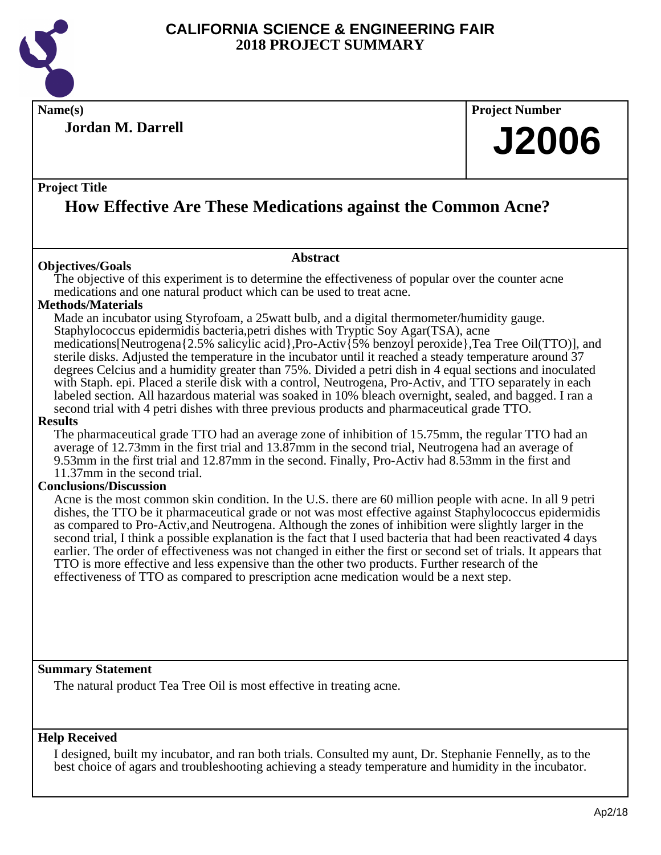

**Name(s) Project Number**

**Jordan M. Darrell**

## **J2006**

#### **Project Title**

## **How Effective Are These Medications against the Common Acne?**

#### **Objectives/Goals**

The objective of this experiment is to determine the effectiveness of popular over the counter acne medications and one natural product which can be used to treat acne.

**Abstract**

#### **Methods/Materials**

Made an incubator using Styrofoam, a 25watt bulb, and a digital thermometer/humidity gauge. Staphylococcus epidermidis bacteria,petri dishes with Tryptic Soy Agar(TSA), acne medications[Neutrogena{2.5% salicylic acid},Pro-Activ{5% benzoyl peroxide},Tea Tree Oil(TTO)], and sterile disks. Adjusted the temperature in the incubator until it reached a steady temperature around 37 degrees Celcius and a humidity greater than 75%. Divided a petri dish in 4 equal sections and inoculated with Staph. epi. Placed a sterile disk with a control, Neutrogena, Pro-Activ, and TTO separately in each labeled section. All hazardous material was soaked in 10% bleach overnight, sealed, and bagged. I ran a second trial with 4 petri dishes with three previous products and pharmaceutical grade TTO.

#### **Results**

The pharmaceutical grade TTO had an average zone of inhibition of 15.75mm, the regular TTO had an average of 12.73mm in the first trial and 13.87mm in the second trial, Neutrogena had an average of 9.53mm in the first trial and 12.87mm in the second. Finally, Pro-Activ had 8.53mm in the first and 11.37mm in the second trial.

#### **Conclusions/Discussion**

Acne is the most common skin condition. In the U.S. there are 60 million people with acne. In all 9 petri dishes, the TTO be it pharmaceutical grade or not was most effective against Staphylococcus epidermidis as compared to Pro-Activ,and Neutrogena. Although the zones of inhibition were slightly larger in the second trial, I think a possible explanation is the fact that I used bacteria that had been reactivated 4 days earlier. The order of effectiveness was not changed in either the first or second set of trials. It appears that TTO is more effective and less expensive than the other two products. Further research of the effectiveness of TTO as compared to prescription acne medication would be a next step.

#### **Summary Statement**

The natural product Tea Tree Oil is most effective in treating acne.

#### **Help Received**

I designed, built my incubator, and ran both trials. Consulted my aunt, Dr. Stephanie Fennelly, as to the best choice of agars and troubleshooting achieving a steady temperature and humidity in the incubator.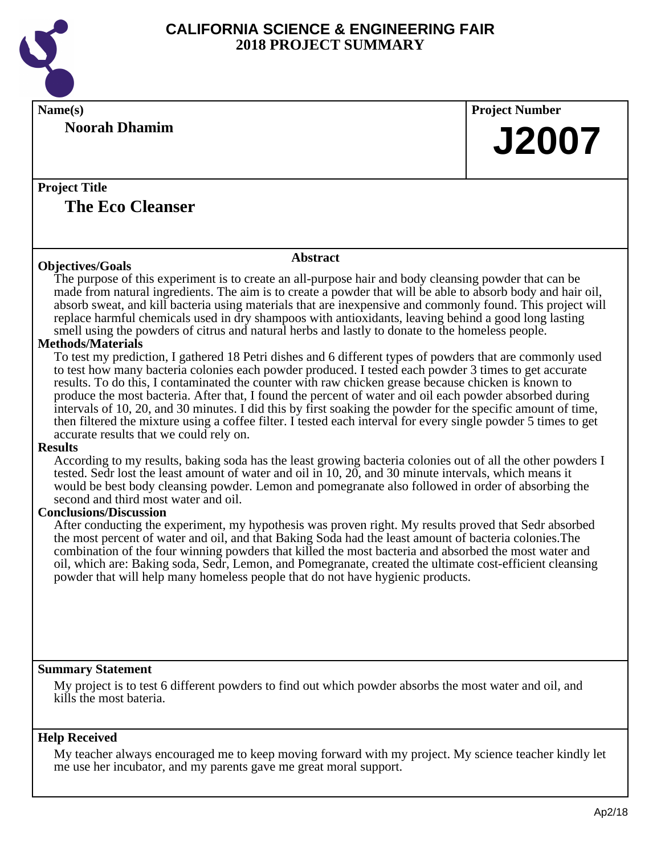

| Name(s)                                                                                                                                                                                                                                                                                                                                                                                                                                                                                                                                                                                                                                                                                                           | <b>Project Number</b> |
|-------------------------------------------------------------------------------------------------------------------------------------------------------------------------------------------------------------------------------------------------------------------------------------------------------------------------------------------------------------------------------------------------------------------------------------------------------------------------------------------------------------------------------------------------------------------------------------------------------------------------------------------------------------------------------------------------------------------|-----------------------|
| <b>Noorah Dhamim</b>                                                                                                                                                                                                                                                                                                                                                                                                                                                                                                                                                                                                                                                                                              |                       |
|                                                                                                                                                                                                                                                                                                                                                                                                                                                                                                                                                                                                                                                                                                                   | <b>J2007</b>          |
|                                                                                                                                                                                                                                                                                                                                                                                                                                                                                                                                                                                                                                                                                                                   |                       |
| <b>Project Title</b>                                                                                                                                                                                                                                                                                                                                                                                                                                                                                                                                                                                                                                                                                              |                       |
| <b>The Eco Cleanser</b>                                                                                                                                                                                                                                                                                                                                                                                                                                                                                                                                                                                                                                                                                           |                       |
|                                                                                                                                                                                                                                                                                                                                                                                                                                                                                                                                                                                                                                                                                                                   |                       |
| <b>Abstract</b>                                                                                                                                                                                                                                                                                                                                                                                                                                                                                                                                                                                                                                                                                                   |                       |
| <b>Objectives/Goals</b>                                                                                                                                                                                                                                                                                                                                                                                                                                                                                                                                                                                                                                                                                           |                       |
| The purpose of this experiment is to create an all-purpose hair and body cleansing powder that can be<br>made from natural ingredients. The aim is to create a powder that will be able to absorb body and hair oil,<br>absorb sweat, and kill bacteria using materials that are inexpensive and commonly found. This project will<br>replace harmful chemicals used in dry shampoos with antioxidants, leaving behind a good long lasting                                                                                                                                                                                                                                                                        |                       |
| smell using the powders of citrus and natural herbs and lastly to donate to the homeless people.                                                                                                                                                                                                                                                                                                                                                                                                                                                                                                                                                                                                                  |                       |
| <b>Methods/Materials</b>                                                                                                                                                                                                                                                                                                                                                                                                                                                                                                                                                                                                                                                                                          |                       |
| To test my prediction, I gathered 18 Petri dishes and 6 different types of powders that are commonly used<br>to test how many bacteria colonies each powder produced. I tested each powder 3 times to get accurate<br>results. To do this, I contaminated the counter with raw chicken grease because chicken is known to<br>produce the most bacteria. After that, I found the percent of water and oil each powder absorbed during<br>intervals of 10, 20, and 30 minutes. I did this by first soaking the powder for the specific amount of time,<br>then filtered the mixture using a coffee filter. I tested each interval for every single powder 5 times to get<br>accurate results that we could rely on. |                       |
| <b>Results</b>                                                                                                                                                                                                                                                                                                                                                                                                                                                                                                                                                                                                                                                                                                    |                       |
| According to my results, baking soda has the least growing bacteria colonies out of all the other powders I<br>tested. Sedr lost the least amount of water and oil in 10, 20, and 30 minute intervals, which means it<br>would be best body cleansing powder. Lemon and pomegranate also followed in order of absorbing the<br>second and third most water and oil.                                                                                                                                                                                                                                                                                                                                               |                       |
| <b>Conclusions/Discussion</b>                                                                                                                                                                                                                                                                                                                                                                                                                                                                                                                                                                                                                                                                                     |                       |
| After conducting the experiment, my hypothesis was proven right. My results proved that Sedr absorbed<br>the most percent of water and oil, and that Baking Soda had the least amount of bacteria colonies. The<br>combination of the four winning powders that killed the most bacteria and absorbed the most water and<br>oil, which are: Baking soda, Sedr, Lemon, and Pomegranate, created the ultimate cost-efficient cleansing<br>powder that will help many homeless people that do not have hygienic products.                                                                                                                                                                                            |                       |
|                                                                                                                                                                                                                                                                                                                                                                                                                                                                                                                                                                                                                                                                                                                   |                       |
| <b>Summary Statement</b>                                                                                                                                                                                                                                                                                                                                                                                                                                                                                                                                                                                                                                                                                          |                       |
| My project is to test 6 different powders to find out which powder absorbs the most water and oil, and<br>kills the most bateria.                                                                                                                                                                                                                                                                                                                                                                                                                                                                                                                                                                                 |                       |
| <b>Help Received</b>                                                                                                                                                                                                                                                                                                                                                                                                                                                                                                                                                                                                                                                                                              |                       |
| My teacher always encouraged me to keep moving forward with my project. My science teacher kindly let<br>me use her incubator, and my parents gave me great moral support.                                                                                                                                                                                                                                                                                                                                                                                                                                                                                                                                        |                       |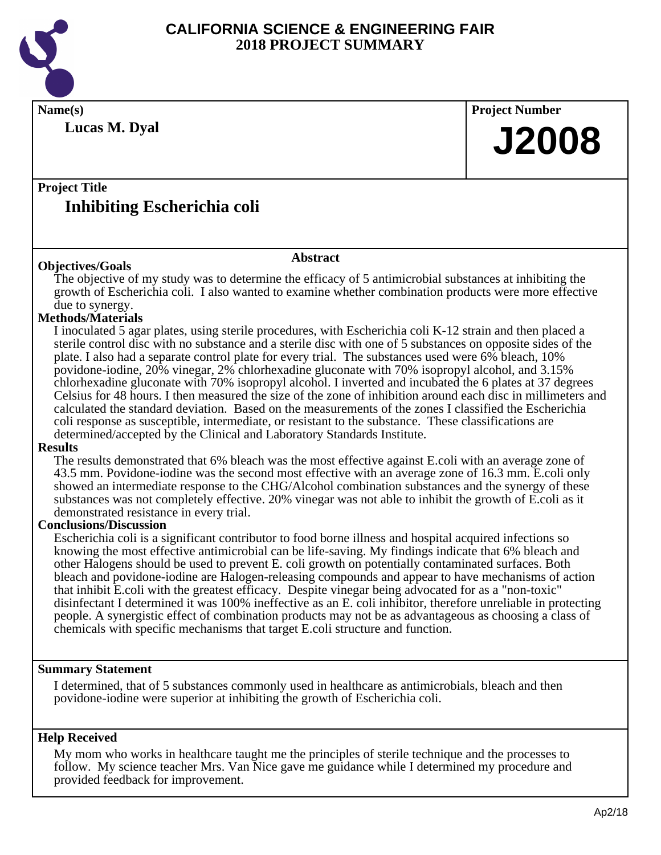

**Name(s) Project Number Project Title Abstract Lucas M. Dyal Inhibiting Escherichia coli J2008 Objectives/Goals** The objective of my study was to determine the efficacy of 5 antimicrobial substances at inhibiting the growth of Escherichia coli. I also wanted to examine whether combination products were more effective due to synergy. **Methods/Materials** I inoculated 5 agar plates, using sterile procedures, with Escherichia coli K-12 strain and then placed a sterile control disc with no substance and a sterile disc with one of 5 substances on opposite sides of the plate. I also had a separate control plate for every trial. The substances used were 6% bleach, 10% povidone-iodine, 20% vinegar, 2% chlorhexadine gluconate with 70% isopropyl alcohol, and 3.15% chlorhexadine gluconate with 70% isopropyl alcohol. I inverted and incubated the 6 plates at 37 degrees Celsius for 48 hours. I then measured the size of the zone of inhibition around each disc in millimeters and calculated the standard deviation. Based on the measurements of the zones I classified the Escherichia coli response as susceptible, intermediate, or resistant to the substance. These classifications are determined/accepted by the Clinical and Laboratory Standards Institute. **Results**

The results demonstrated that 6% bleach was the most effective against E.coli with an average zone of 43.5 mm. Povidone-iodine was the second most effective with an average zone of 16.3 mm. E.coli only showed an intermediate response to the CHG/Alcohol combination substances and the synergy of these substances was not completely effective. 20% vinegar was not able to inhibit the growth of E.coli as it demonstrated resistance in every trial.

#### **Conclusions/Discussion**

Escherichia coli is a significant contributor to food borne illness and hospital acquired infections so knowing the most effective antimicrobial can be life-saving. My findings indicate that 6% bleach and other Halogens should be used to prevent E. coli growth on potentially contaminated surfaces. Both bleach and povidone-iodine are Halogen-releasing compounds and appear to have mechanisms of action that inhibit E.coli with the greatest efficacy. Despite vinegar being advocated for as a "non-toxic" disinfectant I determined it was 100% ineffective as an E. coli inhibitor, therefore unreliable in protecting people. A synergistic effect of combination products may not be as advantageous as choosing a class of chemicals with specific mechanisms that target E.coli structure and function.

#### **Summary Statement**

I determined, that of 5 substances commonly used in healthcare as antimicrobials, bleach and then povidone-iodine were superior at inhibiting the growth of Escherichia coli.

#### **Help Received**

My mom who works in healthcare taught me the principles of sterile technique and the processes to follow. My science teacher Mrs. Van Nice gave me guidance while I determined my procedure and provided feedback for improvement.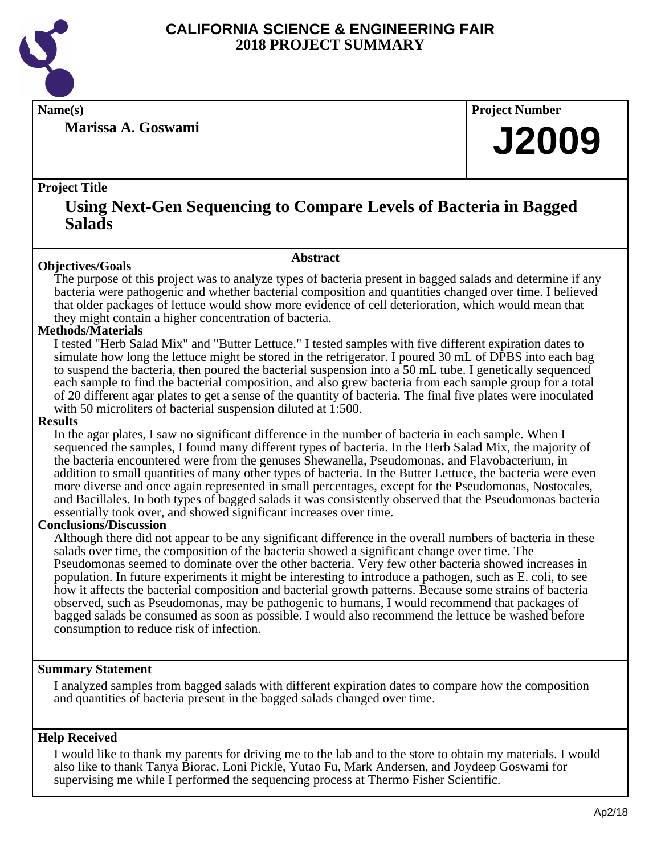

**Marissa A. Goswami**

**Name(s) Project Number**

## **J2009**

#### **Project Title**

### **Using Next-Gen Sequencing to Compare Levels of Bacteria in Bagged Salads**

#### **Abstract**

**Objectives/Goals** The purpose of this project was to analyze types of bacteria present in bagged salads and determine if any bacteria were pathogenic and whether bacterial composition and quantities changed over time. I believed that older packages of lettuce would show more evidence of cell deterioration, which would mean that they might contain a higher concentration of bacteria.

#### **Methods/Materials**

I tested "Herb Salad Mix" and "Butter Lettuce." I tested samples with five different expiration dates to simulate how long the lettuce might be stored in the refrigerator. I poured 30 mL of DPBS into each bag to suspend the bacteria, then poured the bacterial suspension into a 50 mL tube. I genetically sequenced each sample to find the bacterial composition, and also grew bacteria from each sample group for a total of 20 different agar plates to get a sense of the quantity of bacteria. The final five plates were inoculated with 50 microliters of bacterial suspension diluted at 1:500.

#### **Results**

In the agar plates, I saw no significant difference in the number of bacteria in each sample. When I sequenced the samples, I found many different types of bacteria. In the Herb Salad Mix, the majority of the bacteria encountered were from the genuses Shewanella, Pseudomonas, and Flavobacterium, in addition to small quantities of many other types of bacteria. In the Butter Lettuce, the bacteria were even more diverse and once again represented in small percentages, except for the Pseudomonas, Nostocales, and Bacillales. In both types of bagged salads it was consistently observed that the Pseudomonas bacteria essentially took over, and showed significant increases over time.

#### **Conclusions/Discussion**

Although there did not appear to be any significant difference in the overall numbers of bacteria in these salads over time, the composition of the bacteria showed a significant change over time. The Pseudomonas seemed to dominate over the other bacteria. Very few other bacteria showed increases in population. In future experiments it might be interesting to introduce a pathogen, such as E. coli, to see how it affects the bacterial composition and bacterial growth patterns. Because some strains of bacteria observed, such as Pseudomonas, may be pathogenic to humans, I would recommend that packages of bagged salads be consumed as soon as possible. I would also recommend the lettuce be washed before consumption to reduce risk of infection.

#### **Summary Statement**

I analyzed samples from bagged salads with different expiration dates to compare how the composition and quantities of bacteria present in the bagged salads changed over time.

#### **Help Received**

I would like to thank my parents for driving me to the lab and to the store to obtain my materials. I would also like to thank Tanya Biorac, Loni Pickle, Yutao Fu, Mark Andersen, and Joydeep Goswami for supervising me while I performed the sequencing process at Thermo Fisher Scientific.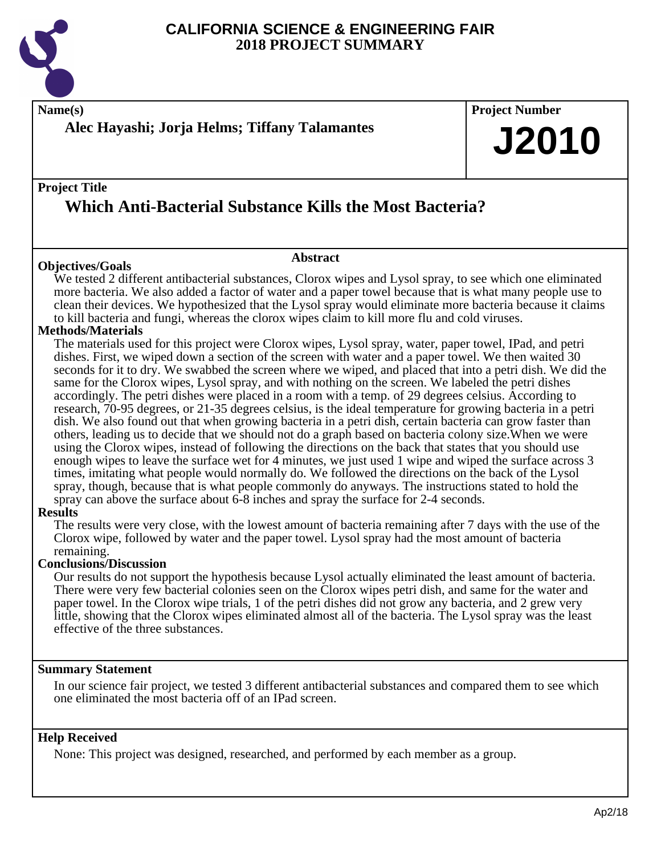

**Name(s) Project Number Alec Hayashi; Jorja Helms; Tiffany Talamantes**

### **Project Title Which Anti-Bacterial Substance Kills the Most Bacteria?**

#### **Objectives/Goals**

We tested 2 different antibacterial substances, Clorox wipes and Lysol spray, to see which one eliminated more bacteria. We also added a factor of water and a paper towel because that is what many people use to clean their devices. We hypothesized that the Lysol spray would eliminate more bacteria because it claims to kill bacteria and fungi, whereas the clorox wipes claim to kill more flu and cold viruses.

**Abstract**

#### **Methods/Materials**

The materials used for this project were Clorox wipes, Lysol spray, water, paper towel, IPad, and petri dishes. First, we wiped down a section of the screen with water and a paper towel. We then waited 30 seconds for it to dry. We swabbed the screen where we wiped, and placed that into a petri dish. We did the same for the Clorox wipes, Lysol spray, and with nothing on the screen. We labeled the petri dishes accordingly. The petri dishes were placed in a room with a temp. of 29 degrees celsius. According to research, 70-95 degrees, or 21-35 degrees celsius, is the ideal temperature for growing bacteria in a petri dish. We also found out that when growing bacteria in a petri dish, certain bacteria can grow faster than others, leading us to decide that we should not do a graph based on bacteria colony size.When we were using the Clorox wipes, instead of following the directions on the back that states that you should use enough wipes to leave the surface wet for 4 minutes, we just used 1 wipe and wiped the surface across 3 times, imitating what people would normally do. We followed the directions on the back of the Lysol spray, though, because that is what people commonly do anyways. The instructions stated to hold the spray can above the surface about 6-8 inches and spray the surface for 2-4 seconds.

#### **Results**

The results were very close, with the lowest amount of bacteria remaining after 7 days with the use of the Clorox wipe, followed by water and the paper towel. Lysol spray had the most amount of bacteria remaining.

#### **Conclusions/Discussion**

Our results do not support the hypothesis because Lysol actually eliminated the least amount of bacteria. There were very few bacterial colonies seen on the Clorox wipes petri dish, and same for the water and paper towel. In the Clorox wipe trials, 1 of the petri dishes did not grow any bacteria, and 2 grew very little, showing that the Clorox wipes eliminated almost all of the bacteria. The Lysol spray was the least effective of the three substances.

#### **Summary Statement**

In our science fair project, we tested 3 different antibacterial substances and compared them to see which one eliminated the most bacteria off of an IPad screen.

#### **Help Received**

None: This project was designed, researched, and performed by each member as a group.

**J2010**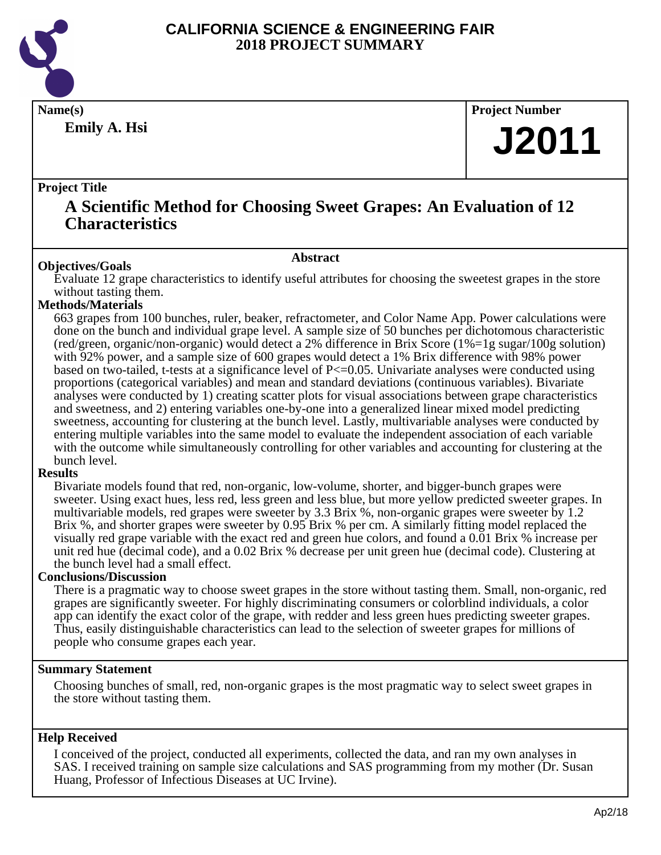

**Emily A. Hsi**

**Name(s) Project Number**

## **J2011**

#### **Project Title**

### **A Scientific Method for Choosing Sweet Grapes: An Evaluation of 12 Characteristics**

#### **Abstract**

**Objectives/Goals** Evaluate 12 grape characteristics to identify useful attributes for choosing the sweetest grapes in the store without tasting them.

#### **Methods/Materials**

663 grapes from 100 bunches, ruler, beaker, refractometer, and Color Name App. Power calculations were done on the bunch and individual grape level. A sample size of 50 bunches per dichotomous characteristic (red/green, organic/non-organic) would detect a 2% difference in Brix Score (1%=1g sugar/100g solution) with 92% power, and a sample size of 600 grapes would detect a 1% Brix difference with 98% power based on two-tailed, t-tests at a significance level of  $P \le 0.05$ . Univariate analyses were conducted using proportions (categorical variables) and mean and standard deviations (continuous variables). Bivariate analyses were conducted by 1) creating scatter plots for visual associations between grape characteristics and sweetness, and 2) entering variables one-by-one into a generalized linear mixed model predicting sweetness, accounting for clustering at the bunch level. Lastly, multivariable analyses were conducted by entering multiple variables into the same model to evaluate the independent association of each variable with the outcome while simultaneously controlling for other variables and accounting for clustering at the bunch level.

#### **Results**

Bivariate models found that red, non-organic, low-volume, shorter, and bigger-bunch grapes were sweeter. Using exact hues, less red, less green and less blue, but more yellow predicted sweeter grapes. In multivariable models, red grapes were sweeter by 3.3 Brix %, non-organic grapes were sweeter by 1.2 Brix %, and shorter grapes were sweeter by 0.95 Brix % per cm. A similarly fitting model replaced the visually red grape variable with the exact red and green hue colors, and found a 0.01 Brix % increase per unit red hue (decimal code), and a 0.02 Brix % decrease per unit green hue (decimal code). Clustering at the bunch level had a small effect.

#### **Conclusions/Discussion**

There is a pragmatic way to choose sweet grapes in the store without tasting them. Small, non-organic, red grapes are significantly sweeter. For highly discriminating consumers or colorblind individuals, a color app can identify the exact color of the grape, with redder and less green hues predicting sweeter grapes. Thus, easily distinguishable characteristics can lead to the selection of sweeter grapes for millions of people who consume grapes each year.

#### **Summary Statement**

Choosing bunches of small, red, non-organic grapes is the most pragmatic way to select sweet grapes in the store without tasting them.

#### **Help Received**

I conceived of the project, conducted all experiments, collected the data, and ran my own analyses in SAS. I received training on sample size calculations and SAS programming from my mother (Dr. Susan Huang, Professor of Infectious Diseases at UC Irvine).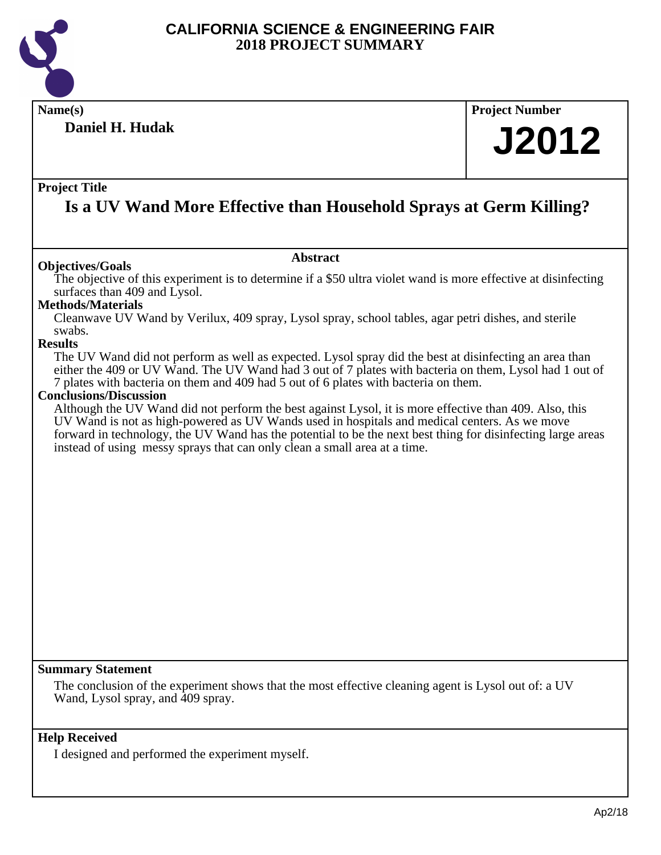

### **Daniel H. Hudak**

### **Name(s) Project Number**

## **J2012**

#### **Project Title**

## **Is a UV Wand More Effective than Household Sprays at Germ Killing?**

#### **Abstract**

**Objectives/Goals** The objective of this experiment is to determine if a \$50 ultra violet wand is more effective at disinfecting surfaces than 409 and Lysol.

#### **Methods/Materials**

Cleanwave UV Wand by Verilux, 409 spray, Lysol spray, school tables, agar petri dishes, and sterile swabs.

#### **Results**

The UV Wand did not perform as well as expected. Lysol spray did the best at disinfecting an area than either the 409 or UV Wand. The UV Wand had 3 out of 7 plates with bacteria on them, Lysol had 1 out of 7 plates with bacteria on them and 409 had 5 out of 6 plates with bacteria on them.

#### **Conclusions/Discussion**

Although the UV Wand did not perform the best against Lysol, it is more effective than 409. Also, this UV Wand is not as high-powered as UV Wands used in hospitals and medical centers. As we move forward in technology, the UV Wand has the potential to be the next best thing for disinfecting large areas instead of using messy sprays that can only clean a small area at a time.

#### **Summary Statement**

The conclusion of the experiment shows that the most effective cleaning agent is Lysol out of: a UV Wand, Lysol spray, and 409 spray.

#### **Help Received**

I designed and performed the experiment myself.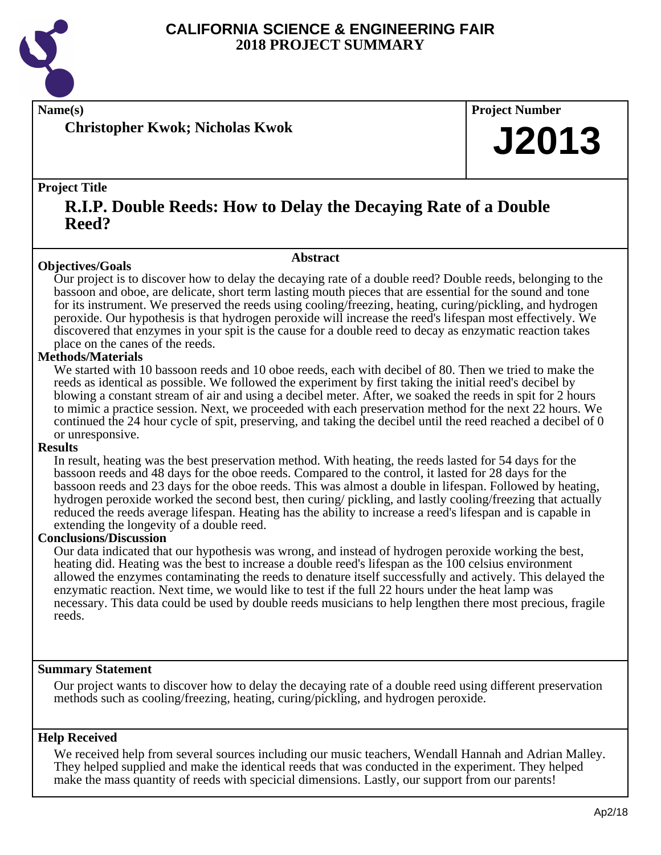

**Christopher Kwok; Nicholas Kwok**

#### **Name(s) Project Number**

## **J2013**

#### **Project Title**

### **R.I.P. Double Reeds: How to Delay the Decaying Rate of a Double Reed?**

#### **Abstract**

**Objectives/Goals** Our project is to discover how to delay the decaying rate of a double reed? Double reeds, belonging to the bassoon and oboe, are delicate, short term lasting mouth pieces that are essential for the sound and tone for its instrument. We preserved the reeds using cooling/freezing, heating, curing/pickling, and hydrogen peroxide. Our hypothesis is that hydrogen peroxide will increase the reed's lifespan most effectively. We discovered that enzymes in your spit is the cause for a double reed to decay as enzymatic reaction takes place on the canes of the reeds.

#### **Methods/Materials**

We started with 10 bassoon reeds and 10 oboe reeds, each with decibel of 80. Then we tried to make the reeds as identical as possible. We followed the experiment by first taking the initial reed's decibel by blowing a constant stream of air and using a decibel meter. After, we soaked the reeds in spit for 2 hours to mimic a practice session. Next, we proceeded with each preservation method for the next 22 hours. We continued the 24 hour cycle of spit, preserving, and taking the decibel until the reed reached a decibel of 0 or unresponsive.

#### **Results**

In result, heating was the best preservation method. With heating, the reeds lasted for 54 days for the bassoon reeds and 48 days for the oboe reeds. Compared to the control, it lasted for 28 days for the bassoon reeds and 23 days for the oboe reeds. This was almost a double in lifespan. Followed by heating, hydrogen peroxide worked the second best, then curing/ pickling, and lastly cooling/freezing that actually reduced the reeds average lifespan. Heating has the ability to increase a reed's lifespan and is capable in extending the longevity of a double reed.

#### **Conclusions/Discussion**

Our data indicated that our hypothesis was wrong, and instead of hydrogen peroxide working the best, heating did. Heating was the best to increase a double reed's lifespan as the 100 celsius environment allowed the enzymes contaminating the reeds to denature itself successfully and actively. This delayed the enzymatic reaction. Next time, we would like to test if the full 22 hours under the heat lamp was necessary. This data could be used by double reeds musicians to help lengthen there most precious, fragile reeds.

#### **Summary Statement**

Our project wants to discover how to delay the decaying rate of a double reed using different preservation methods such as cooling/freezing, heating, curing/pickling, and hydrogen peroxide.

#### **Help Received**

We received help from several sources including our music teachers, Wendall Hannah and Adrian Malley. They helped supplied and make the identical reeds that was conducted in the experiment. They helped make the mass quantity of reeds with specicial dimensions. Lastly, our support from our parents!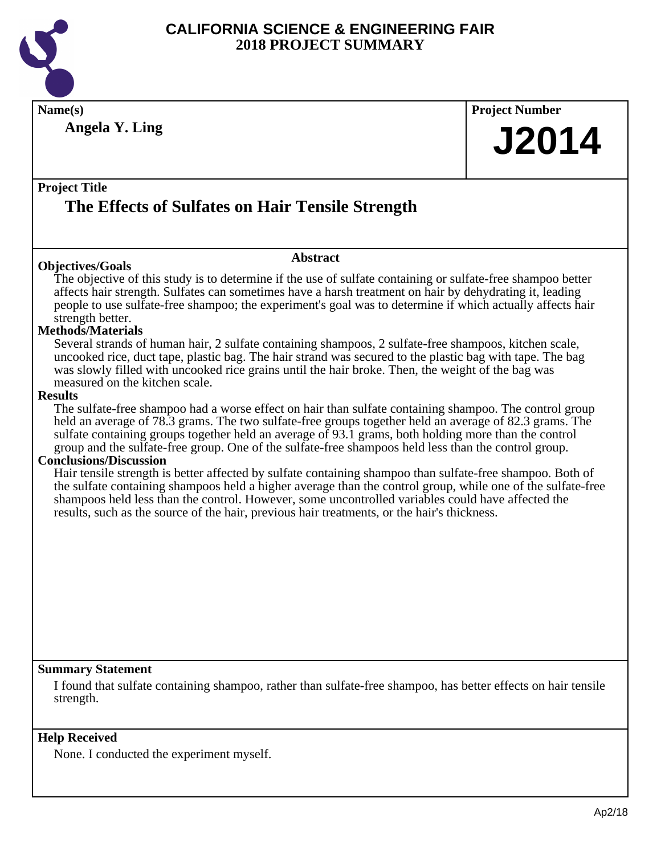

| Name(s)                                                                                                                                                                                                                | <b>Project Number</b> |
|------------------------------------------------------------------------------------------------------------------------------------------------------------------------------------------------------------------------|-----------------------|
| <b>Angela Y. Ling</b>                                                                                                                                                                                                  |                       |
|                                                                                                                                                                                                                        | <b>J2014</b>          |
|                                                                                                                                                                                                                        |                       |
| <b>Project Title</b>                                                                                                                                                                                                   |                       |
|                                                                                                                                                                                                                        |                       |
| The Effects of Sulfates on Hair Tensile Strength                                                                                                                                                                       |                       |
|                                                                                                                                                                                                                        |                       |
| <b>Abstract</b>                                                                                                                                                                                                        |                       |
| <b>Objectives/Goals</b>                                                                                                                                                                                                |                       |
| The objective of this study is to determine if the use of sulfate containing or sulfate-free shampoo better<br>affects hair strength. Sulfates can sometimes have a harsh treatment on hair by dehydrating it, leading |                       |
| people to use sulfate-free shampoo; the experiment's goal was to determine if which actually affects hair                                                                                                              |                       |
| strength better.                                                                                                                                                                                                       |                       |
| <b>Methods/Materials</b>                                                                                                                                                                                               |                       |
| Several strands of human hair, 2 sulfate containing shampoos, 2 sulfate-free shampoos, kitchen scale,                                                                                                                  |                       |
| uncooked rice, duct tape, plastic bag. The hair strand was secured to the plastic bag with tape. The bag<br>was slowly filled with uncooked rice grains until the hair broke. Then, the weight of the bag was          |                       |
| measured on the kitchen scale.                                                                                                                                                                                         |                       |
| <b>Results</b>                                                                                                                                                                                                         |                       |
| The sulfate-free shampoo had a worse effect on hair than sulfate containing shampoo. The control group                                                                                                                 |                       |
| held an average of 78.3 grams. The two sulfate-free groups together held an average of 82.3 grams. The<br>sulfate containing groups together held an average of 93.1 grams, both holding more than the control         |                       |
| group and the sulfate-free group. One of the sulfate-free shampoos held less than the control group.                                                                                                                   |                       |
| <b>Conclusions/Discussion</b>                                                                                                                                                                                          |                       |
| Hair tensile strength is better affected by sulfate containing shampoo than sulfate-free shampoo. Both of                                                                                                              |                       |
| the sulfate containing shampoos held a higher average than the control group, while one of the sulfate-free                                                                                                            |                       |
| shampoos held less than the control. However, some uncontrolled variables could have affected the<br>results, such as the source of the hair, previous hair treatments, or the hair's thickness.                       |                       |
|                                                                                                                                                                                                                        |                       |
|                                                                                                                                                                                                                        |                       |
|                                                                                                                                                                                                                        |                       |
|                                                                                                                                                                                                                        |                       |
|                                                                                                                                                                                                                        |                       |
|                                                                                                                                                                                                                        |                       |
|                                                                                                                                                                                                                        |                       |
|                                                                                                                                                                                                                        |                       |
|                                                                                                                                                                                                                        |                       |
| <b>Summary Statement</b>                                                                                                                                                                                               |                       |
| I found that sulfate containing shampoo, rather than sulfate-free shampoo, has better effects on hair tensile                                                                                                          |                       |
| strength.                                                                                                                                                                                                              |                       |
|                                                                                                                                                                                                                        |                       |
| <b>Help Received</b>                                                                                                                                                                                                   |                       |
|                                                                                                                                                                                                                        |                       |

None. I conducted the experiment myself.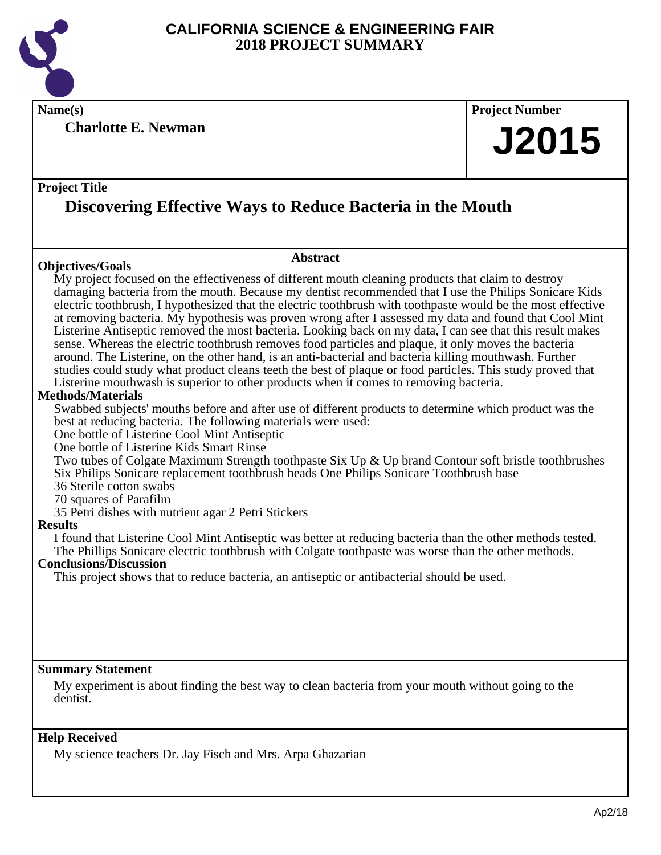

**Name(s) Project Number**

**Charlotte E. Newman**

# **J2015**

#### **Project Title**

## **Discovering Effective Ways to Reduce Bacteria in the Mouth**

#### **Objectives/Goals**

#### **Abstract**

My project focused on the effectiveness of different mouth cleaning products that claim to destroy damaging bacteria from the mouth. Because my dentist recommended that I use the Philips Sonicare Kids electric toothbrush, I hypothesized that the electric toothbrush with toothpaste would be the most effective at removing bacteria. My hypothesis was proven wrong after I assessed my data and found that Cool Mint Listerine Antiseptic removed the most bacteria. Looking back on my data, I can see that this result makes sense. Whereas the electric toothbrush removes food particles and plaque, it only moves the bacteria around. The Listerine, on the other hand, is an anti-bacterial and bacteria killing mouthwash. Further studies could study what product cleans teeth the best of plaque or food particles. This study proved that Listerine mouthwash is superior to other products when it comes to removing bacteria.

#### **Methods/Materials**

Swabbed subjects' mouths before and after use of different products to determine which product was the best at reducing bacteria. The following materials were used:

One bottle of Listerine Cool Mint Antiseptic

One bottle of Listerine Kids Smart Rinse

Two tubes of Colgate Maximum Strength toothpaste Six Up & Up brand Contour soft bristle toothbrushes Six Philips Sonicare replacement toothbrush heads One Philips Sonicare Toothbrush base

36 Sterile cotton swabs

70 squares of Parafilm

35 Petri dishes with nutrient agar 2 Petri Stickers

#### **Results**

I found that Listerine Cool Mint Antiseptic was better at reducing bacteria than the other methods tested. The Phillips Sonicare electric toothbrush with Colgate toothpaste was worse than the other methods.

#### **Conclusions/Discussion**

This project shows that to reduce bacteria, an antiseptic or antibacterial should be used.

#### **Summary Statement**

My experiment is about finding the best way to clean bacteria from your mouth without going to the dentist.

#### **Help Received**

My science teachers Dr. Jay Fisch and Mrs. Arpa Ghazarian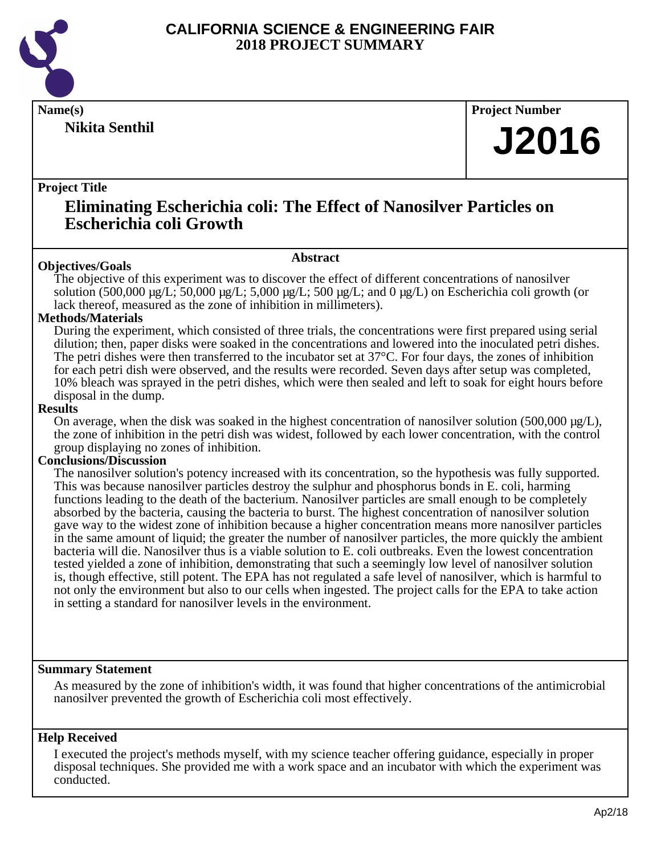

**Nikita Senthil**

**Name(s) Project Number**

## **J2016**

#### **Project Title**

### **Eliminating Escherichia coli: The Effect of Nanosilver Particles on Escherichia coli Growth**

#### **Objectives/Goals**

#### **Abstract**

The objective of this experiment was to discover the effect of different concentrations of nanosilver solution (500,000  $\mu$ g/L; 50,000  $\mu$ g/L; 5,000  $\mu$ g/L; 500  $\mu$ g/L; and 0  $\mu$ g/L) on Escherichia coli growth (or lack thereof, measured as the zone of inhibition in millimeters).

#### **Methods/Materials**

During the experiment, which consisted of three trials, the concentrations were first prepared using serial dilution; then, paper disks were soaked in the concentrations and lowered into the inoculated petri dishes. The petri dishes were then transferred to the incubator set at 37°C. For four days, the zones of inhibition for each petri dish were observed, and the results were recorded. Seven days after setup was completed, 10% bleach was sprayed in the petri dishes, which were then sealed and left to soak for eight hours before disposal in the dump.

#### **Results**

On average, when the disk was soaked in the highest concentration of nanosilver solution  $(500,000 \mu g/L)$ , the zone of inhibition in the petri dish was widest, followed by each lower concentration, with the control group displaying no zones of inhibition.

#### **Conclusions/Discussion**

The nanosilver solution's potency increased with its concentration, so the hypothesis was fully supported. This was because nanosilver particles destroy the sulphur and phosphorus bonds in E. coli, harming functions leading to the death of the bacterium. Nanosilver particles are small enough to be completely absorbed by the bacteria, causing the bacteria to burst. The highest concentration of nanosilver solution gave way to the widest zone of inhibition because a higher concentration means more nanosilver particles in the same amount of liquid; the greater the number of nanosilver particles, the more quickly the ambient bacteria will die. Nanosilver thus is a viable solution to E. coli outbreaks. Even the lowest concentration tested yielded a zone of inhibition, demonstrating that such a seemingly low level of nanosilver solution is, though effective, still potent. The EPA has not regulated a safe level of nanosilver, which is harmful to not only the environment but also to our cells when ingested. The project calls for the EPA to take action in setting a standard for nanosilver levels in the environment.

#### **Summary Statement**

As measured by the zone of inhibition's width, it was found that higher concentrations of the antimicrobial nanosilver prevented the growth of Escherichia coli most effectively.

#### **Help Received**

I executed the project's methods myself, with my science teacher offering guidance, especially in proper disposal techniques. She provided me with a work space and an incubator with which the experiment was conducted.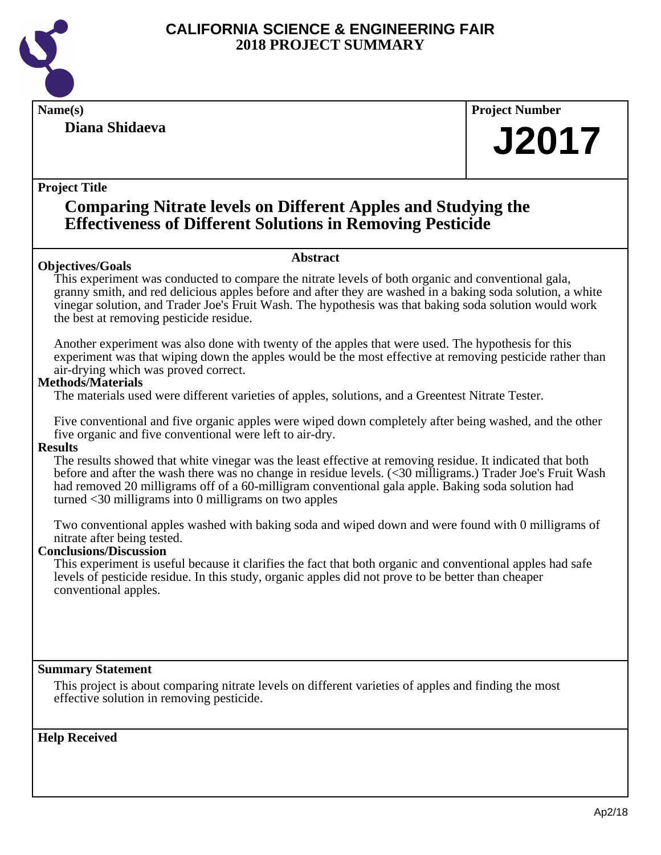

### **Diana Shidaeva**

**Name(s) Project Number**

## **J2017**

#### **Project Title**

### **Comparing Nitrate levels on Different Apples and Studying the Effectiveness of Different Solutions in Removing Pesticide**

#### **Objectives/Goals**

**Abstract**

This experiment was conducted to compare the nitrate levels of both organic and conventional gala, granny smith, and red delicious apples before and after they are washed in a baking soda solution, a white vinegar solution, and Trader Joe's Fruit Wash. The hypothesis was that baking soda solution would work the best at removing pesticide residue.

Another experiment was also done with twenty of the apples that were used. The hypothesis for this experiment was that wiping down the apples would be the most effective at removing pesticide rather than air-drying which was proved correct.

#### **Methods/Materials**

The materials used were different varieties of apples, solutions, and a Greentest Nitrate Tester.

Five conventional and five organic apples were wiped down completely after being washed, and the other five organic and five conventional were left to air-dry.

#### **Results**

The results showed that white vinegar was the least effective at removing residue. It indicated that both before and after the wash there was no change in residue levels. (<30 milligrams.) Trader Joe's Fruit Wash had removed 20 milligrams off of a 60-milligram conventional gala apple. Baking soda solution had turned <30 milligrams into 0 milligrams on two apples

Two conventional apples washed with baking soda and wiped down and were found with 0 milligrams of nitrate after being tested.

#### **Conclusions/Discussion**

This experiment is useful because it clarifies the fact that both organic and conventional apples had safe levels of pesticide residue. In this study, organic apples did not prove to be better than cheaper conventional apples.

#### **Summary Statement**

This project is about comparing nitrate levels on different varieties of apples and finding the most effective solution in removing pesticide.

**Help Received**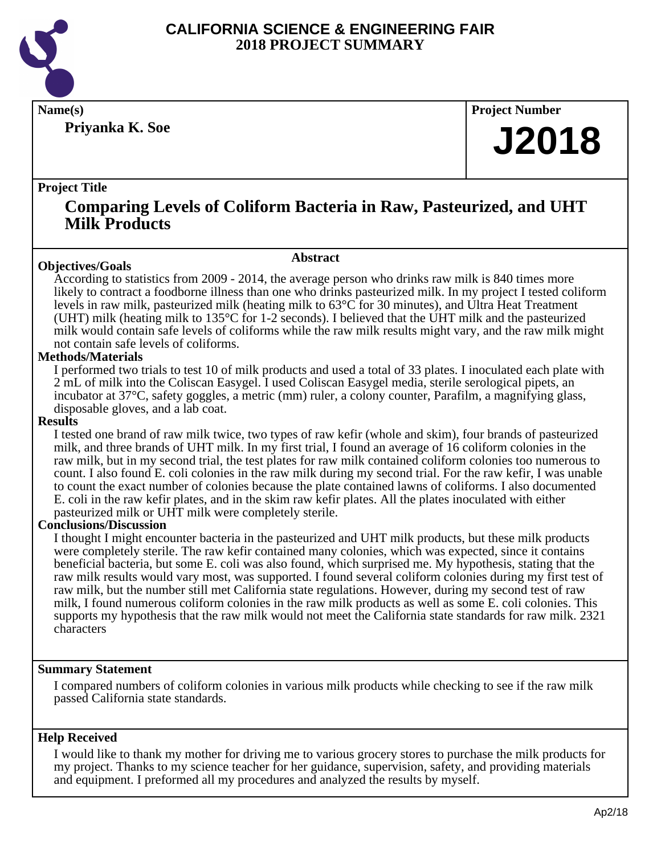

**Priyanka K. Soe**

**Name(s) Project Number**

## **J2018**

#### **Project Title**

### **Comparing Levels of Coliform Bacteria in Raw, Pasteurized, and UHT Milk Products**

**Abstract**

#### **Objectives/Goals**

According to statistics from 2009 - 2014, the average person who drinks raw milk is 840 times more likely to contract a foodborne illness than one who drinks pasteurized milk. In my project I tested coliform levels in raw milk, pasteurized milk (heating milk to 63°C for 30 minutes), and Ultra Heat Treatment (UHT) milk (heating milk to 135°C for 1-2 seconds). I believed that the UHT milk and the pasteurized milk would contain safe levels of coliforms while the raw milk results might vary, and the raw milk might not contain safe levels of coliforms.

#### **Methods/Materials**

I performed two trials to test 10 of milk products and used a total of 33 plates. I inoculated each plate with 2 mL of milk into the Coliscan Easygel. I used Coliscan Easygel media, sterile serological pipets, an incubator at 37°C, safety goggles, a metric (mm) ruler, a colony counter, Parafilm, a magnifying glass, disposable gloves, and a lab coat.

#### **Results**

I tested one brand of raw milk twice, two types of raw kefir (whole and skim), four brands of pasteurized milk, and three brands of UHT milk. In my first trial, I found an average of 16 coliform colonies in the raw milk, but in my second trial, the test plates for raw milk contained coliform colonies too numerous to count. I also found E. coli colonies in the raw milk during my second trial. For the raw kefir, I was unable to count the exact number of colonies because the plate contained lawns of coliforms. I also documented E. coli in the raw kefir plates, and in the skim raw kefir plates. All the plates inoculated with either pasteurized milk or UHT milk were completely sterile.

#### **Conclusions/Discussion**

I thought I might encounter bacteria in the pasteurized and UHT milk products, but these milk products were completely sterile. The raw kefir contained many colonies, which was expected, since it contains beneficial bacteria, but some E. coli was also found, which surprised me. My hypothesis, stating that the raw milk results would vary most, was supported. I found several coliform colonies during my first test of raw milk, but the number still met California state regulations. However, during my second test of raw milk, I found numerous coliform colonies in the raw milk products as well as some E. coli colonies. This supports my hypothesis that the raw milk would not meet the California state standards for raw milk. 2321 characters

#### **Summary Statement**

I compared numbers of coliform colonies in various milk products while checking to see if the raw milk passed California state standards.

#### **Help Received**

I would like to thank my mother for driving me to various grocery stores to purchase the milk products for my project. Thanks to my science teacher for her guidance, supervision, safety, and providing materials and equipment. I preformed all my procedures and analyzed the results by myself.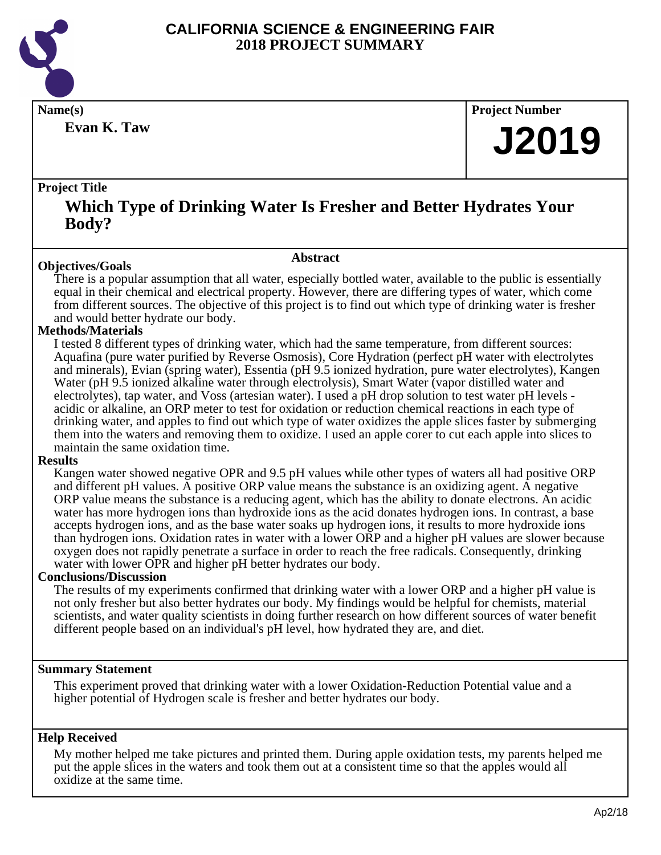

**Evan K. Taw**

**Name(s) Project Number**

## **J2019**

#### **Project Title**

### **Which Type of Drinking Water Is Fresher and Better Hydrates Your Body?**

#### **Abstract**

**Objectives/Goals** There is a popular assumption that all water, especially bottled water, available to the public is essentially equal in their chemical and electrical property. However, there are differing types of water, which come from different sources. The objective of this project is to find out which type of drinking water is fresher and would better hydrate our body.

#### **Methods/Materials**

I tested 8 different types of drinking water, which had the same temperature, from different sources: Aquafina (pure water purified by Reverse Osmosis), Core Hydration (perfect pH water with electrolytes and minerals), Evian (spring water), Essentia (pH 9.5 ionized hydration, pure water electrolytes), Kangen Water (pH 9.5 ionized alkaline water through electrolysis), Smart Water (vapor distilled water and electrolytes), tap water, and Voss (artesian water). I used a pH drop solution to test water pH levels acidic or alkaline, an ORP meter to test for oxidation or reduction chemical reactions in each type of drinking water, and apples to find out which type of water oxidizes the apple slices faster by submerging them into the waters and removing them to oxidize. I used an apple corer to cut each apple into slices to maintain the same oxidation time.

#### **Results**

Kangen water showed negative OPR and 9.5 pH values while other types of waters all had positive ORP and different pH values. A positive ORP value means the substance is an oxidizing agent. A negative ORP value means the substance is a reducing agent, which has the ability to donate electrons. An acidic water has more hydrogen ions than hydroxide ions as the acid donates hydrogen ions. In contrast, a base accepts hydrogen ions, and as the base water soaks up hydrogen ions, it results to more hydroxide ions than hydrogen ions. Oxidation rates in water with a lower ORP and a higher pH values are slower because oxygen does not rapidly penetrate a surface in order to reach the free radicals. Consequently, drinking water with lower OPR and higher pH better hydrates our body.

#### **Conclusions/Discussion**

The results of my experiments confirmed that drinking water with a lower ORP and a higher pH value is not only fresher but also better hydrates our body. My findings would be helpful for chemists, material scientists, and water quality scientists in doing further research on how different sources of water benefit different people based on an individual's pH level, how hydrated they are, and diet.

#### **Summary Statement**

This experiment proved that drinking water with a lower Oxidation-Reduction Potential value and a higher potential of Hydrogen scale is fresher and better hydrates our body.

#### **Help Received**

My mother helped me take pictures and printed them. During apple oxidation tests, my parents helped me put the apple slices in the waters and took them out at a consistent time so that the apples would all oxidize at the same time.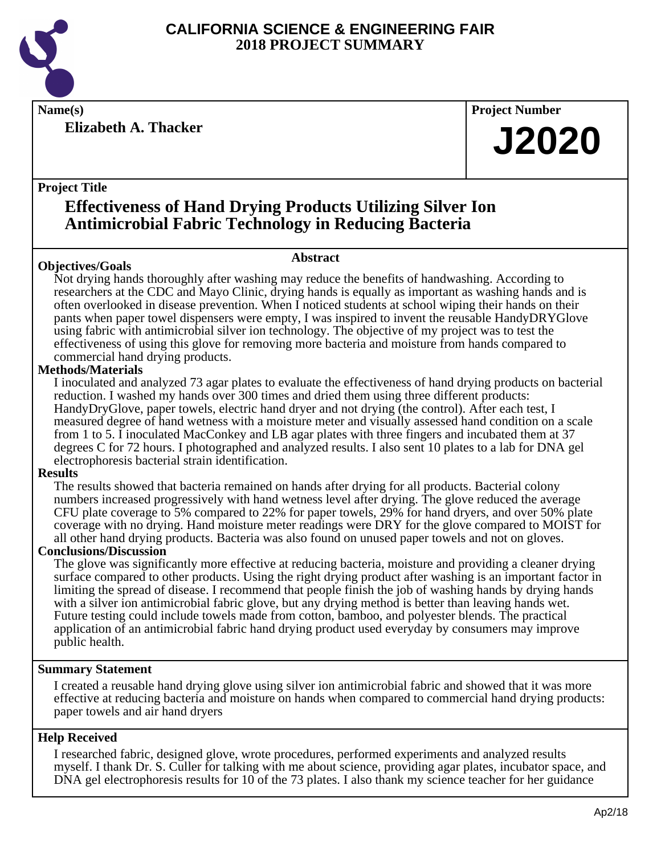

**Project Title**

**Elizabeth A. Thacker**

## **Name(s) Project Number**

**J2020**

## **Effectiveness of Hand Drying Products Utilizing Silver Ion Antimicrobial Fabric Technology in Reducing Bacteria**

#### **Abstract**

**Objectives/Goals** Not drying hands thoroughly after washing may reduce the benefits of handwashing. According to researchers at the CDC and Mayo Clinic, drying hands is equally as important as washing hands and is often overlooked in disease prevention. When I noticed students at school wiping their hands on their pants when paper towel dispensers were empty, I was inspired to invent the reusable HandyDRYGlove using fabric with antimicrobial silver ion technology. The objective of my project was to test the effectiveness of using this glove for removing more bacteria and moisture from hands compared to commercial hand drying products.

#### **Methods/Materials**

I inoculated and analyzed 73 agar plates to evaluate the effectiveness of hand drying products on bacterial reduction. I washed my hands over 300 times and dried them using three different products: HandyDryGlove, paper towels, electric hand dryer and not drying (the control). After each test, I measured degree of hand wetness with a moisture meter and visually assessed hand condition on a scale from 1 to 5. I inoculated MacConkey and LB agar plates with three fingers and incubated them at 37 degrees C for 72 hours. I photographed and analyzed results. I also sent 10 plates to a lab for DNA gel electrophoresis bacterial strain identification.

#### **Results**

The results showed that bacteria remained on hands after drying for all products. Bacterial colony numbers increased progressively with hand wetness level after drying. The glove reduced the average CFU plate coverage to 5% compared to 22% for paper towels, 29% for hand dryers, and over 50% plate coverage with no drying. Hand moisture meter readings were DRY for the glove compared to MOIST for all other hand drying products. Bacteria was also found on unused paper towels and not on gloves.

#### **Conclusions/Discussion**

The glove was significantly more effective at reducing bacteria, moisture and providing a cleaner drying surface compared to other products. Using the right drying product after washing is an important factor in limiting the spread of disease. I recommend that people finish the job of washing hands by drying hands with a silver ion antimicrobial fabric glove, but any drying method is better than leaving hands wet. Future testing could include towels made from cotton, bamboo, and polyester blends. The practical application of an antimicrobial fabric hand drying product used everyday by consumers may improve public health.

#### **Summary Statement**

I created a reusable hand drying glove using silver ion antimicrobial fabric and showed that it was more effective at reducing bacteria and moisture on hands when compared to commercial hand drying products: paper towels and air hand dryers

#### **Help Received**

I researched fabric, designed glove, wrote procedures, performed experiments and analyzed results myself. I thank Dr. S. Culler for talking with me about science, providing agar plates, incubator space, and DNA gel electrophoresis results for 10 of the 73 plates. I also thank my science teacher for her guidance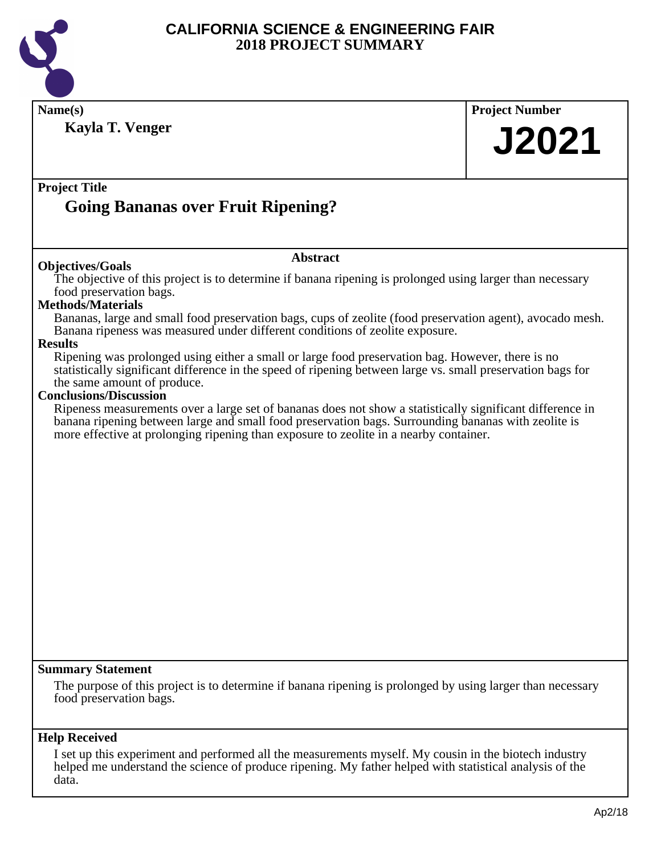

| Name(s)<br><b>Kayla T. Venger</b>                                                                                                                                                                                                                                                                                                                                                                                                                                                                                     | <b>Project Number</b><br><b>J2021</b> |
|-----------------------------------------------------------------------------------------------------------------------------------------------------------------------------------------------------------------------------------------------------------------------------------------------------------------------------------------------------------------------------------------------------------------------------------------------------------------------------------------------------------------------|---------------------------------------|
| <b>Project Title</b><br><b>Going Bananas over Fruit Ripening?</b>                                                                                                                                                                                                                                                                                                                                                                                                                                                     |                                       |
| <b>Abstract</b>                                                                                                                                                                                                                                                                                                                                                                                                                                                                                                       |                                       |
| <b>Objectives/Goals</b><br>The objective of this project is to determine if banana ripening is prolonged using larger than necessary<br>food preservation bags.<br><b>Methods/Materials</b><br>Bananas, large and small food preservation bags, cups of zeolite (food preservation agent), avocado mesh.<br>Banana ripeness was measured under different conditions of zeolite exposure.                                                                                                                              |                                       |
| <b>Results</b><br>Ripening was prolonged using either a small or large food preservation bag. However, there is no<br>statistically significant difference in the speed of ripening between large vs. small preservation bags for<br>the same amount of produce.<br><b>Conclusions/Discussion</b><br>Ripeness measurements over a large set of bananas does not show a statistically significant difference in<br>banana ripening between large and small food preservation bags. Surrounding bananas with zeolite is |                                       |
| more effective at prolonging ripening than exposure to zeolite in a nearby container.                                                                                                                                                                                                                                                                                                                                                                                                                                 |                                       |
|                                                                                                                                                                                                                                                                                                                                                                                                                                                                                                                       |                                       |
|                                                                                                                                                                                                                                                                                                                                                                                                                                                                                                                       |                                       |
|                                                                                                                                                                                                                                                                                                                                                                                                                                                                                                                       |                                       |
|                                                                                                                                                                                                                                                                                                                                                                                                                                                                                                                       |                                       |
|                                                                                                                                                                                                                                                                                                                                                                                                                                                                                                                       |                                       |
| <b>Summary Statement</b><br>The purpose of this project is to determine if banana ripening is prolonged by using larger than necessary<br>food preservation bags.                                                                                                                                                                                                                                                                                                                                                     |                                       |
| <b>Help Received</b><br>I set up this experiment and performed all the measurements myself. My cousin in the biotech industry                                                                                                                                                                                                                                                                                                                                                                                         |                                       |

helped me understand the science of produce ripening. My father helped with statistical analysis of the data.